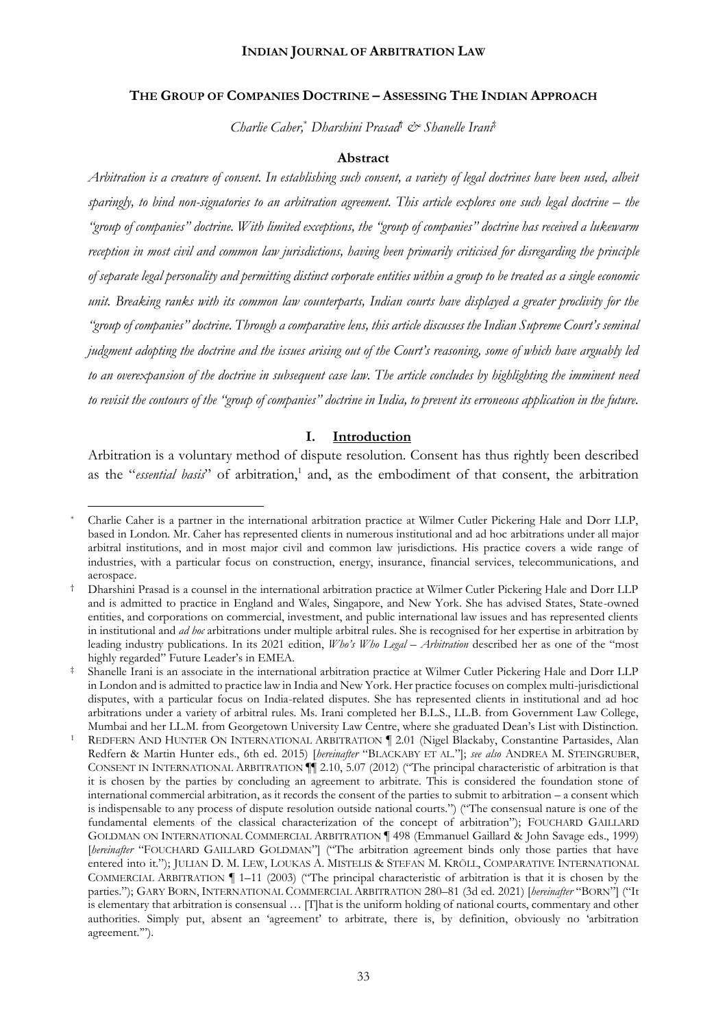#### **THE GROUP OF COMPANIES DOCTRINE – ASSESSING THE INDIAN APPROACH**

*Charlie Caher,*\* *Dharshini Prasad*† *& Shanelle Irani*‡

#### **Abstract**

*Arbitration is a creature of consent. In establishing such consent, a variety of legal doctrines have been used, albeit sparingly, to bind non-signatories to an arbitration agreement. This article explores one such legal doctrine – the "group of companies" doctrine. With limited exceptions, the "group of companies" doctrine has received a lukewarm reception in most civil and common law jurisdictions, having been primarily criticised for disregarding the principle of separate legal personality and permitting distinct corporate entities within a group to be treated as a single economic unit. Breaking ranks with its common law counterparts, Indian courts have displayed a greater proclivity for the "group of companies" doctrine. Through a comparative lens, this article discusses the Indian Supreme Court's seminal judgment adopting the doctrine and the issues arising out of the Court's reasoning, some of which have arguably led to an overexpansion of the doctrine in subsequent case law. The article concludes by highlighting the imminent need to revisit the contours of the "group of companies" doctrine in India, to prevent its erroneous application in the future.*

#### **I. Introduction**

Arbitration is a voluntary method of dispute resolution. Consent has thus rightly been described as the "*essential basis*" of arbitration,<sup>1</sup> and, as the embodiment of that consent, the arbitration

<sup>\*</sup> Charlie Caher is a partner in the international arbitration practice at Wilmer Cutler Pickering Hale and Dorr LLP, based in London. Mr. Caher has represented clients in numerous institutional and ad hoc arbitrations under all major arbitral institutions, and in most major civil and common law jurisdictions. His practice covers a wide range of industries, with a particular focus on construction, energy, insurance, financial services, telecommunications, and aerospace.

<sup>†</sup> Dharshini Prasad is a counsel in the international arbitration practice at Wilmer Cutler Pickering Hale and Dorr LLP and is admitted to practice in England and Wales, Singapore, and New York. She has advised States, State-owned entities, and corporations on commercial, investment, and public international law issues and has represented clients in institutional and *ad hoc* arbitrations under multiple arbitral rules. She is recognised for her expertise in arbitration by leading industry publications. In its 2021 edition, *Who's Who Legal – Arbitration* described her as one of the "most highly regarded" Future Leader's in EMEA.

<sup>‡</sup> Shanelle Irani is an associate in the international arbitration practice at Wilmer Cutler Pickering Hale and Dorr LLP in London and is admitted to practice law in India and New York. Her practice focuses on complex multi-jurisdictional disputes, with a particular focus on India-related disputes. She has represented clients in institutional and ad hoc arbitrations under a variety of arbitral rules. Ms. Irani completed her B.L.S., LL.B. from Government Law College, Mumbai and her LL.M. from Georgetown University Law Centre, where she graduated Dean's List with Distinction.

REDFERN AND HUNTER ON INTERNATIONAL ARBITRATION | 2.01 (Nigel Blackaby, Constantine Partasides, Alan Redfern & Martin Hunter eds., 6th ed. 2015) [*hereinafter* "BLACKABY ET AL."]; *see also* ANDREA M. STEINGRUBER, CONSENT IN INTERNATIONAL ARBITRATION ¶¶ 2.10, 5.07 (2012) ("The principal characteristic of arbitration is that it is chosen by the parties by concluding an agreement to arbitrate. This is considered the foundation stone of international commercial arbitration, as it records the consent of the parties to submit to arbitration – a consent which is indispensable to any process of dispute resolution outside national courts.") ("The consensual nature is one of the fundamental elements of the classical characterization of the concept of arbitration"); FOUCHARD GAILLARD GOLDMAN ON INTERNATIONAL COMMERCIAL ARBITRATION ¶ 498 (Emmanuel Gaillard & John Savage eds., 1999) [*hereinafter* "FOUCHARD GAILLARD GOLDMAN"] ("The arbitration agreement binds only those parties that have entered into it."); JULIAN D. M. LEW, LOUKAS A. MISTELIS & STEFAN M. KRÖLL, COMPARATIVE INTERNATIONAL COMMERCIAL ARBITRATION ¶ 1–11 (2003) ("The principal characteristic of arbitration is that it is chosen by the parties."); GARY BORN, INTERNATIONAL COMMERCIAL ARBITRATION 280–81 (3d ed. 2021) [*hereinafter* "BORN"] ("It is elementary that arbitration is consensual … [T]hat is the uniform holding of national courts, commentary and other authorities. Simply put, absent an 'agreement' to arbitrate, there is, by definition, obviously no 'arbitration agreement.'").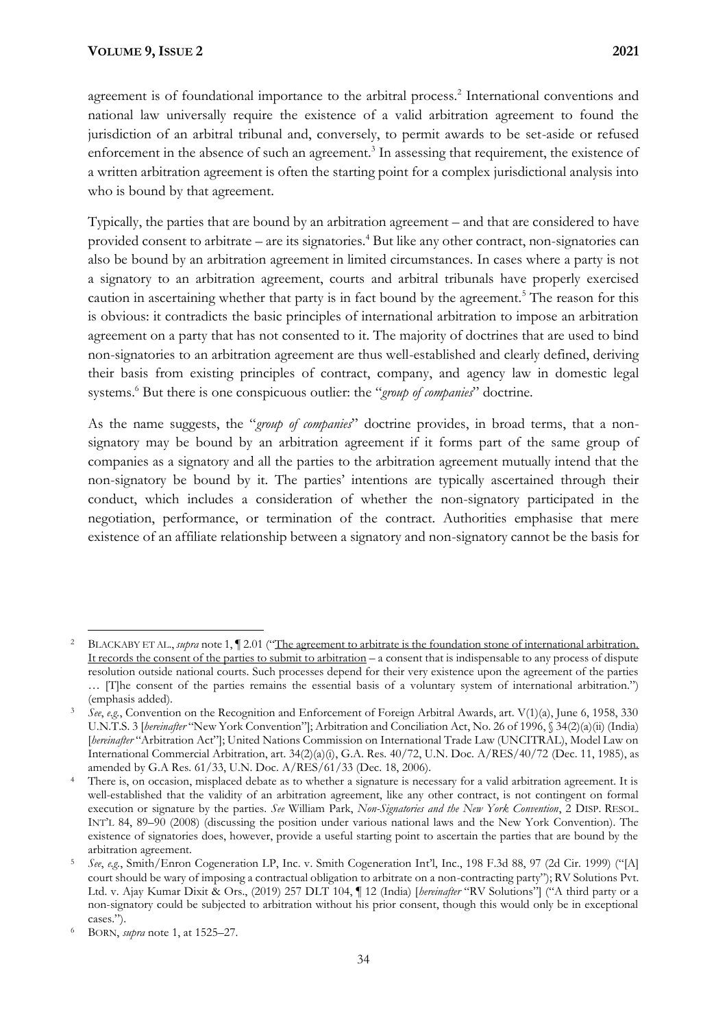agreement is of foundational importance to the arbitral process.<sup>2</sup> International conventions and national law universally require the existence of a valid arbitration agreement to found the jurisdiction of an arbitral tribunal and, conversely, to permit awards to be set-aside or refused enforcement in the absence of such an agreement.<sup>3</sup> In assessing that requirement, the existence of a written arbitration agreement is often the starting point for a complex jurisdictional analysis into who is bound by that agreement.

Typically, the parties that are bound by an arbitration agreement – and that are considered to have provided consent to arbitrate – are its signatories.<sup>4</sup> But like any other contract, non-signatories can also be bound by an arbitration agreement in limited circumstances. In cases where a party is not a signatory to an arbitration agreement, courts and arbitral tribunals have properly exercised caution in ascertaining whether that party is in fact bound by the agreement.<sup>5</sup> The reason for this is obvious: it contradicts the basic principles of international arbitration to impose an arbitration agreement on a party that has not consented to it. The majority of doctrines that are used to bind non-signatories to an arbitration agreement are thus well-established and clearly defined, deriving their basis from existing principles of contract, company, and agency law in domestic legal systems.<sup>6</sup> But there is one conspicuous outlier: the "*group of companies*" doctrine.

As the name suggests, the "*group of companies*" doctrine provides, in broad terms, that a nonsignatory may be bound by an arbitration agreement if it forms part of the same group of companies as a signatory and all the parties to the arbitration agreement mutually intend that the non-signatory be bound by it. The parties' intentions are typically ascertained through their conduct, which includes a consideration of whether the non-signatory participated in the negotiation, performance, or termination of the contract. Authorities emphasise that mere existence of an affiliate relationship between a signatory and non-signatory cannot be the basis for

<sup>&</sup>lt;sup>2</sup> BLACKABY ET AL., *supra* note 1, 1 2.01 ("The agreement to arbitrate is the foundation stone of international arbitration. It records the consent of the parties to submit to arbitration – a consent that is indispensable to any process of dispute resolution outside national courts. Such processes depend for their very existence upon the agreement of the parties … [T]he consent of the parties remains the essential basis of a voluntary system of international arbitration.") (emphasis added).

<sup>3</sup> *See*, *e.g.*, Convention on the Recognition and Enforcement of Foreign Arbitral Awards, art. V(1)(a), June 6, 1958, 330 U.N.T.S. 3 [*hereinafter* "New York Convention"]; Arbitration and Conciliation Act, No. 26 of 1996, § 34(2)(a)(ii) (India) [*hereinafter* "Arbitration Act"]; United Nations Commission on International Trade Law (UNCITRAL), Model Law on International Commercial Arbitration, art. 34(2)(a)(i), G.A. Res. 40/72, U.N. Doc. A/RES/40/72 (Dec. 11, 1985), as amended by G.A Res. 61/33, U.N. Doc. A/RES/61/33 (Dec. 18, 2006).

<sup>&</sup>lt;sup>4</sup> There is, on occasion, misplaced debate as to whether a signature is necessary for a valid arbitration agreement. It is well-established that the validity of an arbitration agreement, like any other contract, is not contingent on formal execution or signature by the parties. *See* William Park, *Non-Signatories and the New York Convention*, 2 DISP. RESOL. INT'L 84, 89–90 (2008) (discussing the position under various national laws and the New York Convention). The existence of signatories does, however, provide a useful starting point to ascertain the parties that are bound by the arbitration agreement.

<sup>5</sup> *See*, *e.g.*, Smith/Enron Cogeneration LP, Inc. v. Smith Cogeneration Int'l, Inc., 198 F.3d 88, 97 (2d Cir. 1999) ("[A] court should be wary of imposing a contractual obligation to arbitrate on a non-contracting party"); RV Solutions Pvt. Ltd. v. Ajay Kumar Dixit & Ors., (2019) 257 DLT 104, ¶ 12 (India) [*hereinafter* "RV Solutions"] ("A third party or a non-signatory could be subjected to arbitration without his prior consent, though this would only be in exceptional cases.").

<sup>6</sup> BORN, *supra* note 1, at 1525–27.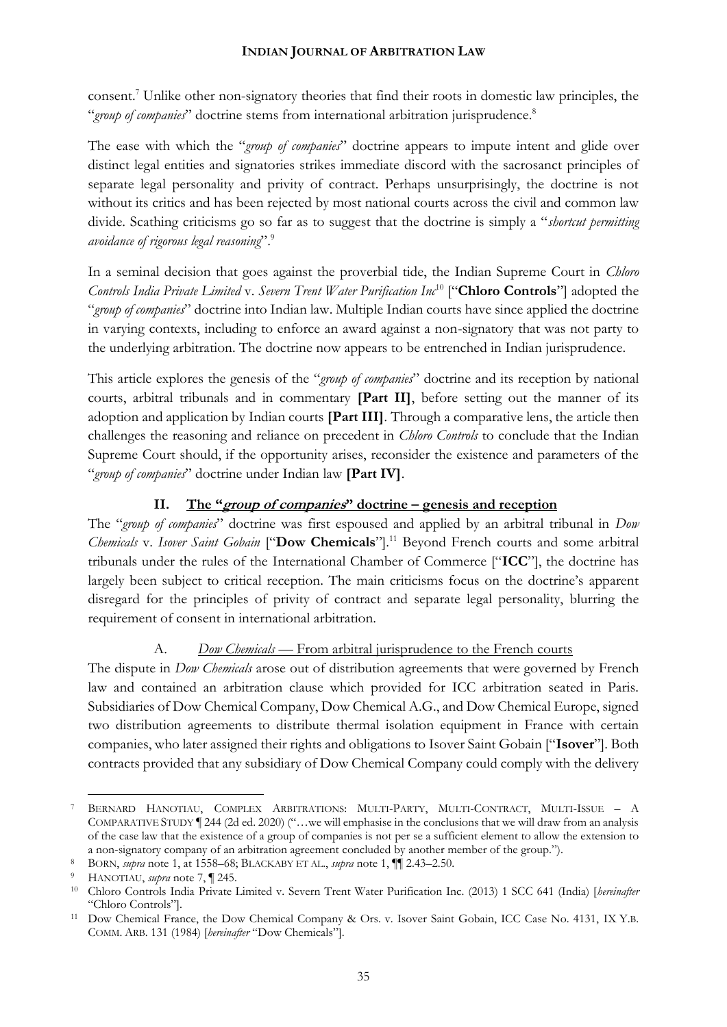consent.<sup>7</sup> Unlike other non-signatory theories that find their roots in domestic law principles, the "*group of companies*" doctrine stems from international arbitration jurisprudence.<sup>8</sup>

The ease with which the "*group of companies*" doctrine appears to impute intent and glide over distinct legal entities and signatories strikes immediate discord with the sacrosanct principles of separate legal personality and privity of contract. Perhaps unsurprisingly, the doctrine is not without its critics and has been rejected by most national courts across the civil and common law divide. Scathing criticisms go so far as to suggest that the doctrine is simply a "*shortcut permitting avoidance of rigorous legal reasoning*".<sup>9</sup>

In a seminal decision that goes against the proverbial tide, the Indian Supreme Court in *Chloro Controls India Private Limited* v. *Severn Trent Water Purification Inc*<sup>10</sup> ["**Chloro Controls**"] adopted the "*group of companies*" doctrine into Indian law. Multiple Indian courts have since applied the doctrine in varying contexts, including to enforce an award against a non-signatory that was not party to the underlying arbitration. The doctrine now appears to be entrenched in Indian jurisprudence.

This article explores the genesis of the "*group of companies*" doctrine and its reception by national courts, arbitral tribunals and in commentary **[Part II]**, before setting out the manner of its adoption and application by Indian courts **[Part III]***.* Through a comparative lens, the article then challenges the reasoning and reliance on precedent in *Chloro Controls* to conclude that the Indian Supreme Court should, if the opportunity arises, reconsider the existence and parameters of the "*group of companies*" doctrine under Indian law **[Part IV]**.

# **II. The "group of companies" doctrine – genesis and reception**

The "*group of companies*" doctrine was first espoused and applied by an arbitral tribunal in *Dow Chemicals* v. *Isover Saint Gobain* ["**Dow Chemicals**"].<sup>11</sup> Beyond French courts and some arbitral tribunals under the rules of the International Chamber of Commerce ["**ICC**"], the doctrine has largely been subject to critical reception. The main criticisms focus on the doctrine's apparent disregard for the principles of privity of contract and separate legal personality, blurring the requirement of consent in international arbitration.

# A. *Dow Chemicals* — From arbitral jurisprudence to the French courts

The dispute in *Dow Chemicals* arose out of distribution agreements that were governed by French law and contained an arbitration clause which provided for ICC arbitration seated in Paris. Subsidiaries of Dow Chemical Company, Dow Chemical A.G., and Dow Chemical Europe, signed two distribution agreements to distribute thermal isolation equipment in France with certain companies, who later assigned their rights and obligations to Isover Saint Gobain ["**Isover**"]. Both contracts provided that any subsidiary of Dow Chemical Company could comply with the delivery

<sup>7</sup> BERNARD HANOTIAU, COMPLEX ARBITRATIONS: MULTI-PARTY, MULTI-CONTRACT, MULTI-ISSUE – A COMPARATIVE STUDY ¶ 244 (2d ed. 2020) ("…we will emphasise in the conclusions that we will draw from an analysis of the case law that the existence of a group of companies is not per se a sufficient element to allow the extension to a non-signatory company of an arbitration agreement concluded by another member of the group.").

<sup>8</sup> BORN, *supra* note 1, at 1558–68; BLACKABY ET AL., *supra* note 1, ¶¶ 2.43–2.50.

<sup>9</sup> HANOTIAU, *supra* note 7, ¶ 245.

<sup>10</sup> Chloro Controls India Private Limited v. Severn Trent Water Purification Inc. (2013) 1 SCC 641 (India) [*hereinafter* "Chloro Controls"].

<sup>11</sup> Dow Chemical France, the Dow Chemical Company & Ors. v. Isover Saint Gobain, ICC Case No. 4131, IX Y.B. COMM. ARB. 131 (1984) [*hereinafter* "Dow Chemicals"].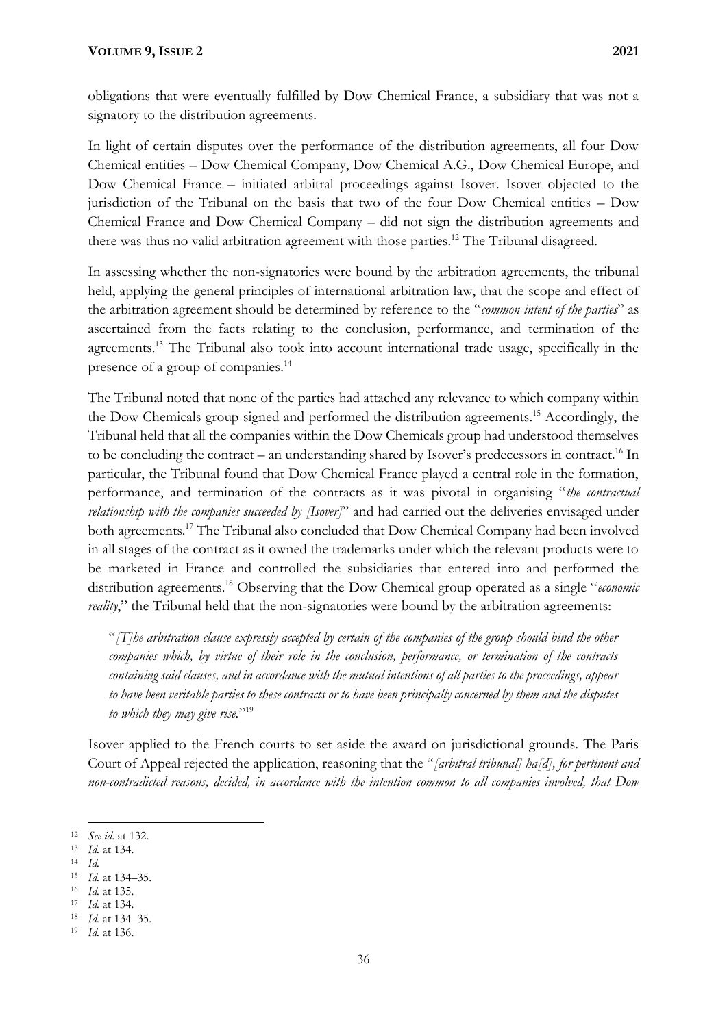obligations that were eventually fulfilled by Dow Chemical France, a subsidiary that was not a signatory to the distribution agreements.

In light of certain disputes over the performance of the distribution agreements, all four Dow Chemical entities – Dow Chemical Company, Dow Chemical A.G., Dow Chemical Europe, and Dow Chemical France – initiated arbitral proceedings against Isover. Isover objected to the jurisdiction of the Tribunal on the basis that two of the four Dow Chemical entities – Dow Chemical France and Dow Chemical Company – did not sign the distribution agreements and there was thus no valid arbitration agreement with those parties.<sup>12</sup> The Tribunal disagreed.

In assessing whether the non-signatories were bound by the arbitration agreements, the tribunal held, applying the general principles of international arbitration law, that the scope and effect of the arbitration agreement should be determined by reference to the "*common intent of the parties*" as ascertained from the facts relating to the conclusion, performance, and termination of the agreements.<sup>13</sup> The Tribunal also took into account international trade usage, specifically in the presence of a group of companies.<sup>14</sup>

The Tribunal noted that none of the parties had attached any relevance to which company within the Dow Chemicals group signed and performed the distribution agreements.<sup>15</sup> Accordingly, the Tribunal held that all the companies within the Dow Chemicals group had understood themselves to be concluding the contract – an understanding shared by Isover's predecessors in contract.<sup>16</sup> In particular, the Tribunal found that Dow Chemical France played a central role in the formation, performance, and termination of the contracts as it was pivotal in organising "*the contractual relationship with the companies succeeded by [Isover]*" and had carried out the deliveries envisaged under both agreements.<sup>17</sup> The Tribunal also concluded that Dow Chemical Company had been involved in all stages of the contract as it owned the trademarks under which the relevant products were to be marketed in France and controlled the subsidiaries that entered into and performed the distribution agreements.<sup>18</sup> Observing that the Dow Chemical group operated as a single "*economic reality*," the Tribunal held that the non-signatories were bound by the arbitration agreements:

"*[T]he arbitration clause expressly accepted by certain of the companies of the group should bind the other companies which, by virtue of their role in the conclusion, performance, or termination of the contracts containing said clauses, and in accordance with the mutual intentions of all parties to the proceedings, appear to have been veritable parties to these contracts or to have been principally concerned by them and the disputes to which they may give rise.*" 19

Isover applied to the French courts to set aside the award on jurisdictional grounds. The Paris Court of Appeal rejected the application, reasoning that the "*[arbitral tribunal] ha[d], for pertinent and non-contradicted reasons, decided, in accordance with the intention common to all companies involved, that Dow* 

- <sup>13</sup> *Id.* at 134.
- <sup>14</sup> *Id.*
- <sup>15</sup> *Id.* at 134–35.
- <sup>16</sup> *Id.* at 135.
- <sup>17</sup> *Id.* at 134.

<sup>12</sup> *See id*. at 132.

<sup>18</sup> *Id.* at 134–35.

<sup>19</sup> *Id.* at 136.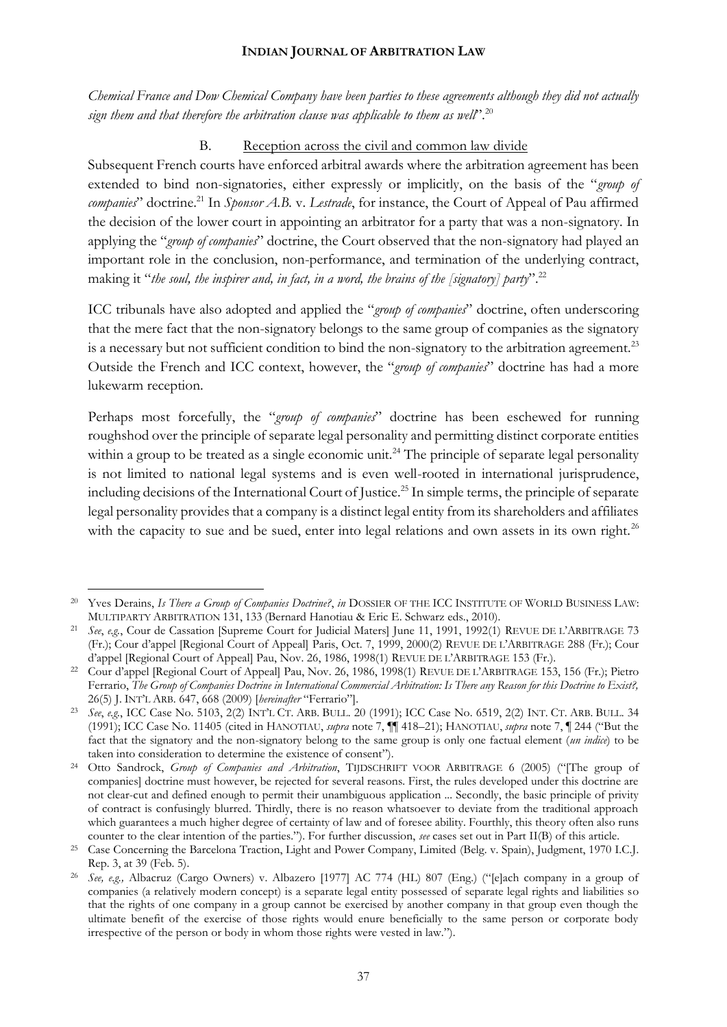*Chemical France and Dow Chemical Company have been parties to these agreements although they did not actually sign them and that therefore the arbitration clause was applicable to them as well*"*.* 20

# B. Reception across the civil and common law divide

Subsequent French courts have enforced arbitral awards where the arbitration agreement has been extended to bind non-signatories, either expressly or implicitly, on the basis of the "*group of companies*" doctrine.<sup>21</sup> In *Sponsor A.B.* v. *Lestrade*, for instance, the Court of Appeal of Pau affirmed the decision of the lower court in appointing an arbitrator for a party that was a non-signatory. In applying the "*group of companies*" doctrine, the Court observed that the non-signatory had played an important role in the conclusion, non-performance, and termination of the underlying contract, making it "*the soul, the inspirer and, in fact, in a word, the brains of the [signatory] party*". 22

ICC tribunals have also adopted and applied the "*group of companies*" doctrine, often underscoring that the mere fact that the non-signatory belongs to the same group of companies as the signatory is a necessary but not sufficient condition to bind the non-signatory to the arbitration agreement.<sup>23</sup> Outside the French and ICC context, however, the "*group of companies*" doctrine has had a more lukewarm reception.

Perhaps most forcefully, the "*group of companies*" doctrine has been eschewed for running roughshod over the principle of separate legal personality and permitting distinct corporate entities within a group to be treated as a single economic unit.<sup>24</sup> The principle of separate legal personality is not limited to national legal systems and is even well-rooted in international jurisprudence, including decisions of the International Court of Justice.<sup>25</sup> In simple terms, the principle of separate legal personality provides that a company is a distinct legal entity from its shareholders and affiliates with the capacity to sue and be sued, enter into legal relations and own assets in its own right.<sup>26</sup>

<sup>20</sup> Yves Derains, *Is There a Group of Companies Doctrine?*, *in* DOSSIER OF THE ICC INSTITUTE OF WORLD BUSINESS LAW: MULTIPARTY ARBITRATION 131, 133 (Bernard Hanotiau & Eric E. Schwarz eds., 2010).

<sup>21</sup> *See*, *e.g.*, Cour de Cassation [Supreme Court for Judicial Maters] June 11, 1991, 1992(1) REVUE DE L'ARBITRAGE 73 (Fr.); Cour d'appel [Regional Court of Appeal] Paris, Oct. 7, 1999, 2000(2) REVUE DE L'ARBITRAGE 288 (Fr.); Cour d'appel [Regional Court of Appeal] Pau, Nov. 26, 1986, 1998(1) REVUE DE L'ARBITRAGE 153 (Fr.).

<sup>22</sup> Cour d'appel [Regional Court of Appeal] Pau, Nov. 26, 1986, 1998(1) REVUE DE L'ARBITRAGE 153, 156 (Fr.); Pietro Ferrario, *The Group of Companies Doctrine in International Commercial Arbitration: Is There any Reason for this Doctrine to Exist?,*  26(5) J. INT'L ARB. 647, 668 (2009) [*hereinafter* "Ferrario"].

<sup>23</sup> *See*, *e.g.*, ICC Case No. 5103, 2(2) INT'L CT. ARB. BULL. 20 (1991); ICC Case No. 6519, 2(2) INT. CT. ARB. BULL. 34 (1991); ICC Case No. 11405 (cited in HANOTIAU, *supra* note 7, ¶¶ 418–21); HANOTIAU, *supra* note 7, ¶ 244 ("But the fact that the signatory and the non-signatory belong to the same group is only one factual element (*un indice*) to be taken into consideration to determine the existence of consent").

<sup>24</sup> Otto Sandrock, *Group of Companies and Arbitration*, TIJDSCHRIFT VOOR ARBITRAGE 6 (2005) ("[The group of companies] doctrine must however, be rejected for several reasons. First, the rules developed under this doctrine are not clear-cut and defined enough to permit their unambiguous application ... Secondly, the basic principle of privity of contract is confusingly blurred. Thirdly, there is no reason whatsoever to deviate from the traditional approach which guarantees a much higher degree of certainty of law and of foresee ability. Fourthly, this theory often also runs counter to the clear intention of the parties."). For further discussion, *see* cases set out in Part II(B) of this article.

<sup>25</sup> Case Concerning the Barcelona Traction, Light and Power Company, Limited (Belg. v. Spain), Judgment, 1970 I.C.J. Rep. 3, at 39 (Feb. 5).

<sup>26</sup> *See, e.g.,* Albacruz (Cargo Owners) v. Albazero [1977] AC 774 (HL) 807 (Eng.) ("[e]ach company in a group of companies (a relatively modern concept) is a separate legal entity possessed of separate legal rights and liabilities so that the rights of one company in a group cannot be exercised by another company in that group even though the ultimate benefit of the exercise of those rights would enure beneficially to the same person or corporate body irrespective of the person or body in whom those rights were vested in law.").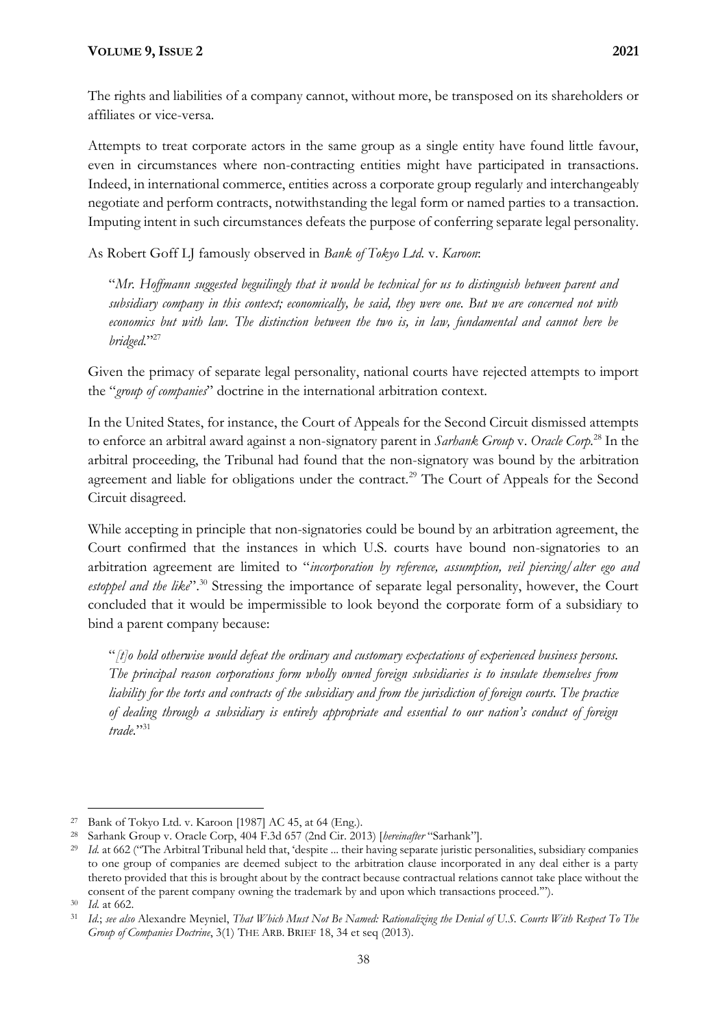The rights and liabilities of a company cannot, without more, be transposed on its shareholders or affiliates or vice-versa.

Attempts to treat corporate actors in the same group as a single entity have found little favour, even in circumstances where non-contracting entities might have participated in transactions. Indeed, in international commerce, entities across a corporate group regularly and interchangeably negotiate and perform contracts, notwithstanding the legal form or named parties to a transaction. Imputing intent in such circumstances defeats the purpose of conferring separate legal personality.

As Robert Goff LJ famously observed in *Bank of Tokyo Ltd.* v. *Karoon*:

"*Mr. Hoffmann suggested beguilingly that it would be technical for us to distinguish between parent and subsidiary company in this context; economically, he said, they were one. But we are concerned not with economics but with law. The distinction between the two is, in law, fundamental and cannot here be bridged.*" 27

Given the primacy of separate legal personality, national courts have rejected attempts to import the "*group of companies*" doctrine in the international arbitration context.

In the United States, for instance, the Court of Appeals for the Second Circuit dismissed attempts to enforce an arbitral award against a non-signatory parent in *Sarhank Group* v. *Oracle Corp.*<sup>28</sup> In the arbitral proceeding, the Tribunal had found that the non-signatory was bound by the arbitration agreement and liable for obligations under the contract.<sup>29</sup> The Court of Appeals for the Second Circuit disagreed.

While accepting in principle that non-signatories could be bound by an arbitration agreement, the Court confirmed that the instances in which U.S. courts have bound non-signatories to an arbitration agreement are limited to "*incorporation by reference, assumption, veil piercing/alter ego and*  estoppel and the like<sup>".30</sup> Stressing the importance of separate legal personality, however, the Court concluded that it would be impermissible to look beyond the corporate form of a subsidiary to bind a parent company because:

"*[t]o hold otherwise would defeat the ordinary and customary expectations of experienced business persons. The principal reason corporations form wholly owned foreign subsidiaries is to insulate themselves from liability for the torts and contracts of the subsidiary and from the jurisdiction of foreign courts. The practice of dealing through a subsidiary is entirely appropriate and essential to our nation's conduct of foreign trade.*" 31

<sup>27</sup> Bank of Tokyo Ltd. v. Karoon [1987] AC 45, at 64 (Eng.).

<sup>28</sup> Sarhank Group v. Oracle Corp, 404 F.3d 657 (2nd Cir. 2013) [*hereinafter* "Sarhank"].

<sup>29</sup> *Id.* at 662 ("The Arbitral Tribunal held that, 'despite ... their having separate juristic personalities, subsidiary companies to one group of companies are deemed subject to the arbitration clause incorporated in any deal either is a party thereto provided that this is brought about by the contract because contractual relations cannot take place without the consent of the parent company owning the trademark by and upon which transactions proceed.'").

<sup>30</sup> *Id.* at 662.

<sup>31</sup> *Id.*; *see also* Alexandre Meyniel, *That Which Must Not Be Named: Rationalizing the Denial of U.S. Courts With Respect To The Group of Companies Doctrine*, 3(1) THE ARB. BRIEF 18, 34 et seq (2013).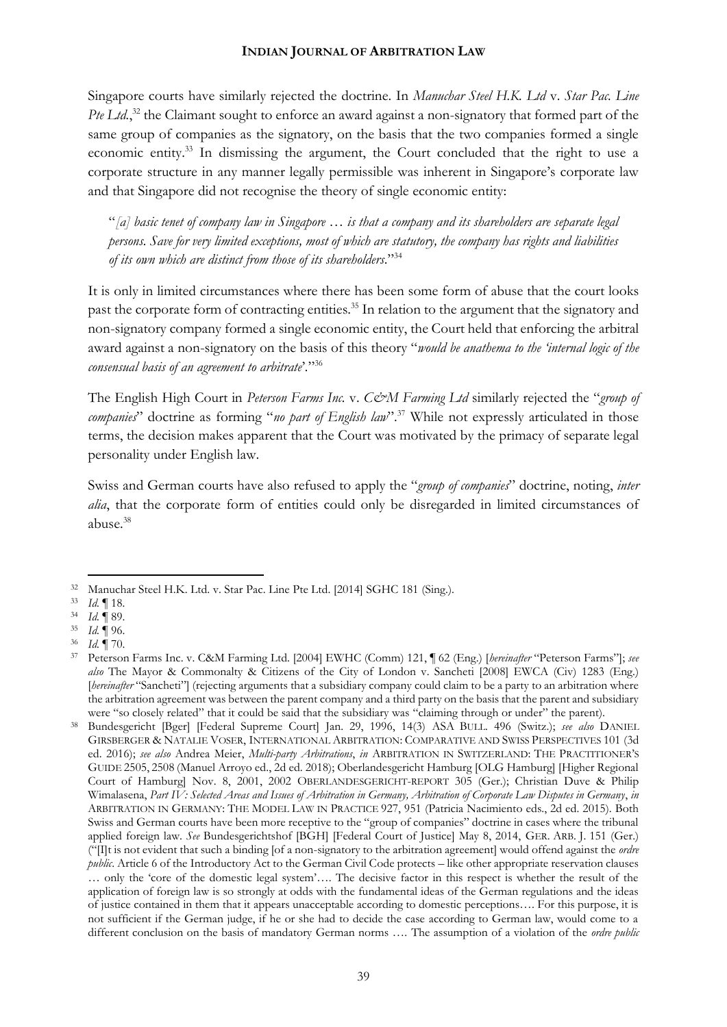Singapore courts have similarly rejected the doctrine. In *Manuchar Steel H.K. Ltd* v. *Star Pac. Line*  Pte Ltd.,<sup>32</sup> the Claimant sought to enforce an award against a non-signatory that formed part of the same group of companies as the signatory, on the basis that the two companies formed a single economic entity.<sup>33</sup> In dismissing the argument, the Court concluded that the right to use a corporate structure in any manner legally permissible was inherent in Singapore's corporate law and that Singapore did not recognise the theory of single economic entity:

"*[a] basic tenet of company law in Singapore … is that a company and its shareholders are separate legal persons. Save for very limited exceptions, most of which are statutory, the company has rights and liabilities of its own which are distinct from those of its shareholders*."<sup>34</sup>

It is only in limited circumstances where there has been some form of abuse that the court looks past the corporate form of contracting entities.<sup>35</sup> In relation to the argument that the signatory and non-signatory company formed a single economic entity, the Court held that enforcing the arbitral award against a non-signatory on the basis of this theory "*would be anathema to the 'internal logic of the consensual basis of an agreement to arbitrate*'*.*" 36

The English High Court in *Peterson Farms Inc.* v. *C&M Farming Ltd* similarly rejected the "*group of companies*" doctrine as forming "*no part of English law*". <sup>37</sup> While not expressly articulated in those terms, the decision makes apparent that the Court was motivated by the primacy of separate legal personality under English law.

Swiss and German courts have also refused to apply the "*group of companies*" doctrine, noting, *inter alia*, that the corporate form of entities could only be disregarded in limited circumstances of abuse.<sup>38</sup>

<sup>32</sup> Manuchar Steel H.K. Ltd. v. Star Pac. Line Pte Ltd. [2014] SGHC 181 (Sing.).

<sup>33</sup> *Id.* ¶ 18.

<sup>34</sup> *Id.* ¶ 89.

<sup>35</sup> *Id.* ¶ 96.

<sup>36</sup> *Id.* ¶ 70.

<sup>37</sup> Peterson Farms Inc. v. C&M Farming Ltd. [2004] EWHC (Comm) 121, ¶ 62 (Eng.) [*hereinafter* "Peterson Farms"]; *see also* The Mayor & Commonalty & Citizens of the City of London v. Sancheti [2008] EWCA (Civ) 1283 (Eng.) [*hereinafter* "Sancheti"] (rejecting arguments that a subsidiary company could claim to be a party to an arbitration where the arbitration agreement was between the parent company and a third party on the basis that the parent and subsidiary were "so closely related" that it could be said that the subsidiary was "claiming through or under" the parent).

<sup>38</sup> Bundesgericht [Bger] [Federal Supreme Court] Jan. 29, 1996, 14(3) ASA BULL. 496 (Switz.); *see also* DANIEL GIRSBERGER & NATALIE VOSER, INTERNATIONAL ARBITRATION: COMPARATIVE AND SWISS PERSPECTIVES 101 (3d ed. 2016); *see also* Andrea Meier, *Multi-party Arbitrations*, *in* ARBITRATION IN SWITZERLAND: THE PRACTITIONER'S GUIDE 2505, 2508 (Manuel Arroyo ed., 2d ed. 2018); Oberlandesgericht Hamburg [OLG Hamburg] [Higher Regional Court of Hamburg] Nov. 8, 2001, 2002 OBERLANDESGERICHT-REPORT 305 (Ger.); Christian Duve & Philip Wimalasena, *Part IV: Selected Areas and Issues of Arbitration in Germany, Arbitration of Corporate Law Disputes in Germany*, *in* ARBITRATION IN GERMANY: THE MODEL LAW IN PRACTICE 927, 951 (Patricia Nacimiento eds., 2d ed. 2015). Both Swiss and German courts have been more receptive to the "group of companies" doctrine in cases where the tribunal applied foreign law. *See* Bundesgerichtshof [BGH] [Federal Court of Justice] May 8, 2014, GER. ARB. J. 151 (Ger.) ("[I]t is not evident that such a binding [of a non-signatory to the arbitration agreement] would offend against the *ordre public*. Article 6 of the Introductory Act to the German Civil Code protects – like other appropriate reservation clauses … only the 'core of the domestic legal system'…. The decisive factor in this respect is whether the result of the application of foreign law is so strongly at odds with the fundamental ideas of the German regulations and the ideas of justice contained in them that it appears unacceptable according to domestic perceptions…. For this purpose, it is not sufficient if the German judge, if he or she had to decide the case according to German law, would come to a different conclusion on the basis of mandatory German norms …. The assumption of a violation of the *ordre public*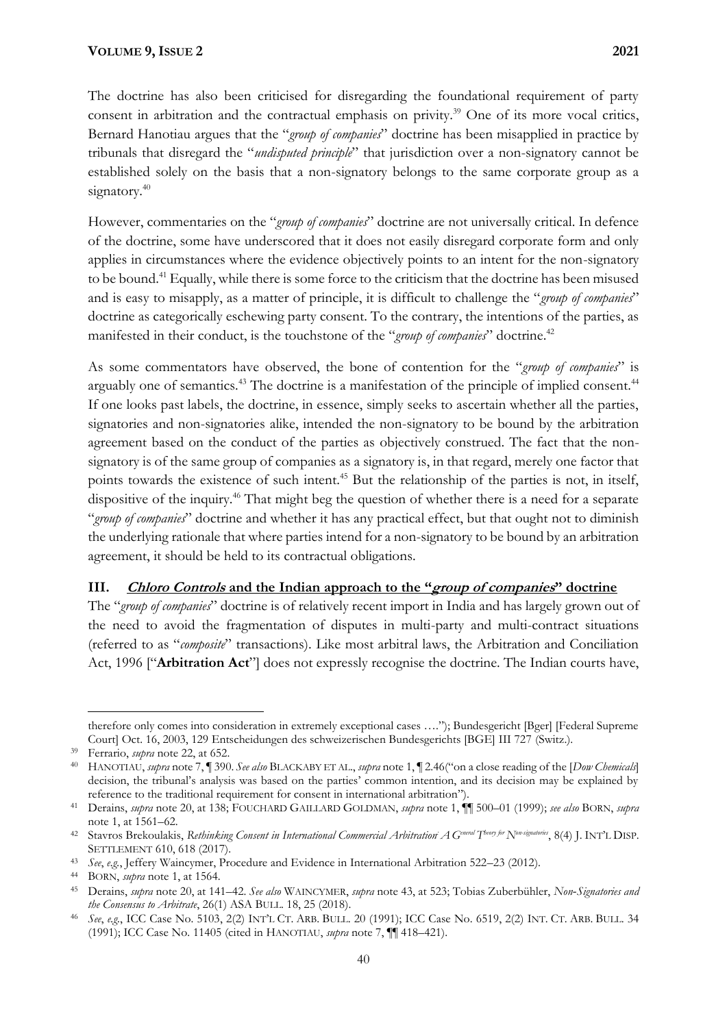The doctrine has also been criticised for disregarding the foundational requirement of party consent in arbitration and the contractual emphasis on privity.<sup>39</sup> One of its more vocal critics, Bernard Hanotiau argues that the "*group of companies*" doctrine has been misapplied in practice by tribunals that disregard the "*undisputed principle*" that jurisdiction over a non-signatory cannot be established solely on the basis that a non-signatory belongs to the same corporate group as a signatory.<sup>40</sup>

However, commentaries on the "*group of companies*" doctrine are not universally critical. In defence of the doctrine, some have underscored that it does not easily disregard corporate form and only applies in circumstances where the evidence objectively points to an intent for the non-signatory to be bound.<sup>41</sup> Equally, while there is some force to the criticism that the doctrine has been misused and is easy to misapply, as a matter of principle, it is difficult to challenge the "*group of companies*" doctrine as categorically eschewing party consent. To the contrary, the intentions of the parties, as manifested in their conduct, is the touchstone of the "*group of companies*" doctrine.<sup>42</sup>

As some commentators have observed, the bone of contention for the "*group of companies*" is arguably one of semantics.<sup>43</sup> The doctrine is a manifestation of the principle of implied consent.<sup>44</sup> If one looks past labels, the doctrine, in essence, simply seeks to ascertain whether all the parties, signatories and non-signatories alike, intended the non-signatory to be bound by the arbitration agreement based on the conduct of the parties as objectively construed. The fact that the nonsignatory is of the same group of companies as a signatory is, in that regard, merely one factor that points towards the existence of such intent.<sup>45</sup> But the relationship of the parties is not, in itself, dispositive of the inquiry.<sup>46</sup> That might beg the question of whether there is a need for a separate "*group of companies*" doctrine and whether it has any practical effect, but that ought not to diminish the underlying rationale that where parties intend for a non-signatory to be bound by an arbitration agreement, it should be held to its contractual obligations.

## **III. Chloro Controls and the Indian approach to the "group of companies" doctrine**

The "*group of companies*" doctrine is of relatively recent import in India and has largely grown out of the need to avoid the fragmentation of disputes in multi-party and multi-contract situations (referred to as "*composite*" transactions). Like most arbitral laws, the Arbitration and Conciliation Act, 1996 ["**Arbitration Act**"] does not expressly recognise the doctrine. The Indian courts have,

therefore only comes into consideration in extremely exceptional cases …."); Bundesgericht [Bger] [Federal Supreme Court] Oct. 16, 2003, 129 Entscheidungen des schweizerischen Bundesgerichts [BGE] III 727 (Switz.).

<sup>39</sup> Ferrario, *supra* note 22, at 652.

<sup>40</sup> HANOTIAU, *supra* note 7, ¶ 390. *See also* BLACKABY ET AL., *supra* note 1, ¶ 2.46("on a close reading of the [*Dow Chemicals*] decision, the tribunal's analysis was based on the parties' common intention, and its decision may be explained by reference to the traditional requirement for consent in international arbitration").

<sup>41</sup> Derains, *supra* note 20, at 138; FOUCHARD GAILLARD GOLDMAN, *supra* note 1, ¶¶ 500–01 (1999); *see also* BORN, *supra*  note 1, at 1561–62.

<sup>42</sup> Stavros Brekoulakis, *Rethinking Consent in International Commercial Arbitration: A General T heory for Non-signatories*, 8(4) J. INT'L DISP. SETTLEMENT 610, 618 (2017).

<sup>43</sup> *See*, *e.g.*, Jeffery Waincymer, Procedure and Evidence in International Arbitration 522–23 (2012).

<sup>44</sup> BORN, *supra* note 1, at 1564.

<sup>45</sup> Derains, *supra* note 20, at 141–42. *See also* WAINCYMER, *supra* note 43, at 523; Tobias Zuberbühler, *Non‐Signatories and the Consensus to Arbitrate*, 26(1) ASA BULL. 18, 25 (2018).

<sup>46</sup> *See*, *e.g.*, ICC Case No. 5103, 2(2) INT'L CT. ARB. BULL. 20 (1991); ICC Case No. 6519, 2(2) INT. CT. ARB. BULL. 34 (1991); ICC Case No. 11405 (cited in HANOTIAU, *supra* note 7, ¶¶ 418–421).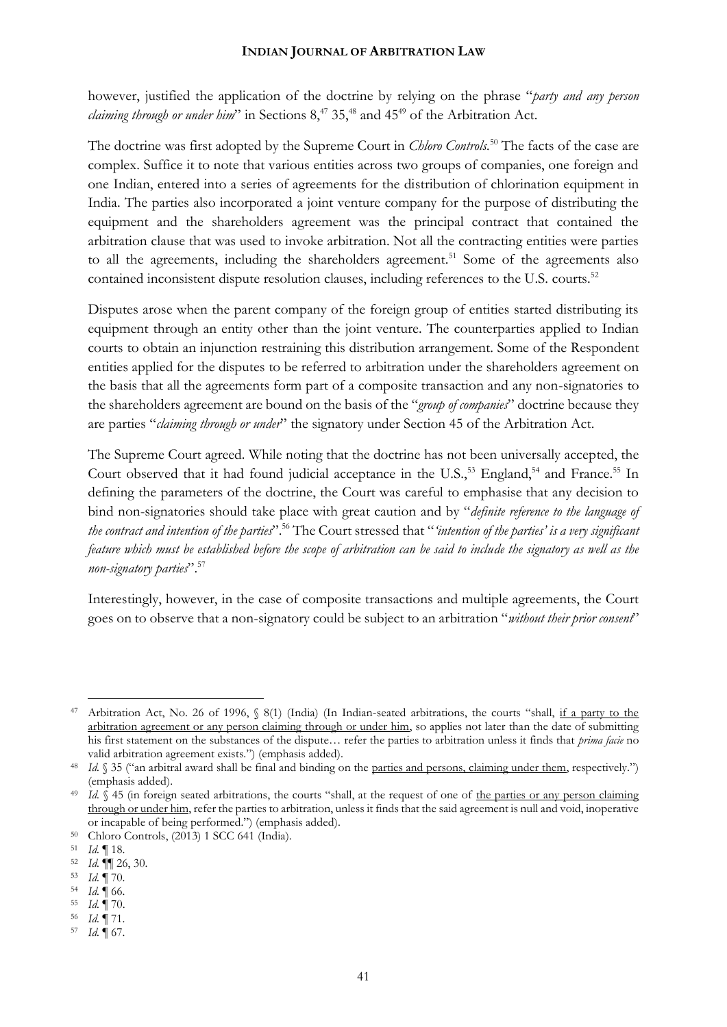however, justified the application of the doctrine by relying on the phrase "*party and any person claiming through or under him*" in Sections  $8,47$  35,<sup>48</sup> and 45<sup>49</sup> of the Arbitration Act.

The doctrine was first adopted by the Supreme Court in *Chloro Controls.*<sup>50</sup> The facts of the case are complex. Suffice it to note that various entities across two groups of companies, one foreign and one Indian, entered into a series of agreements for the distribution of chlorination equipment in India. The parties also incorporated a joint venture company for the purpose of distributing the equipment and the shareholders agreement was the principal contract that contained the arbitration clause that was used to invoke arbitration. Not all the contracting entities were parties to all the agreements, including the shareholders agreement.<sup>51</sup> Some of the agreements also contained inconsistent dispute resolution clauses, including references to the U.S. courts.<sup>52</sup>

Disputes arose when the parent company of the foreign group of entities started distributing its equipment through an entity other than the joint venture. The counterparties applied to Indian courts to obtain an injunction restraining this distribution arrangement. Some of the Respondent entities applied for the disputes to be referred to arbitration under the shareholders agreement on the basis that all the agreements form part of a composite transaction and any non-signatories to the shareholders agreement are bound on the basis of the "*group of companies*" doctrine because they are parties "*claiming through or under*" the signatory under Section 45 of the Arbitration Act.

The Supreme Court agreed. While noting that the doctrine has not been universally accepted, the Court observed that it had found judicial acceptance in the U.S.,<sup>53</sup> England,<sup>54</sup> and France.<sup>55</sup> In defining the parameters of the doctrine, the Court was careful to emphasise that any decision to bind non-signatories should take place with great caution and by "*definite reference to the language of the contract and intention of the parties*".<sup>56</sup> The Court stressed that "*'intention of the parties' is a very significant feature which must be established before the scope of arbitration can be said to include the signatory as well as the non-signatory parties*".<sup>57</sup>

Interestingly, however, in the case of composite transactions and multiple agreements, the Court goes on to observe that a non-signatory could be subject to an arbitration "*without their prior consent*"

<sup>&</sup>lt;sup>47</sup> Arbitration Act, No. 26 of 1996,  $\frac{8(1)}{10}$  (In Indian-seated arbitrations, the courts "shall, if a party to the arbitration agreement or any person claiming through or under him, so applies not later than the date of submitting his first statement on the substances of the dispute… refer the parties to arbitration unless it finds that *prima facie* no valid arbitration agreement exists.") (emphasis added).

<sup>&</sup>lt;sup>48</sup> *Id.* § 35 ("an arbitral award shall be final and binding on the parties and persons, claiming under them, respectively.") (emphasis added).

<sup>&</sup>lt;sup>49</sup> *Id.*  $\sqrt{$  45 (in foreign seated arbitrations, the courts "shall, at the request of one of the parties or any person claiming through or under him, refer the parties to arbitration, unless it finds that the said agreement is null and void, inoperative or incapable of being performed.") (emphasis added).

<sup>50</sup> Chloro Controls, (2013) 1 SCC 641 (India).

<sup>51</sup> *Id.* ¶ 18.

<sup>52</sup> *Id.* ¶¶ 26, 30.

<sup>53</sup> *Id.* ¶ 70.

<sup>54</sup> *Id.*  $\parallel$  66.<br>55 *Id*  $\parallel$  70

<sup>55</sup> *Id.* ¶ 70.

<sup>56</sup> *Id.* ¶ 71.

<sup>57</sup> *Id.* ¶ 67.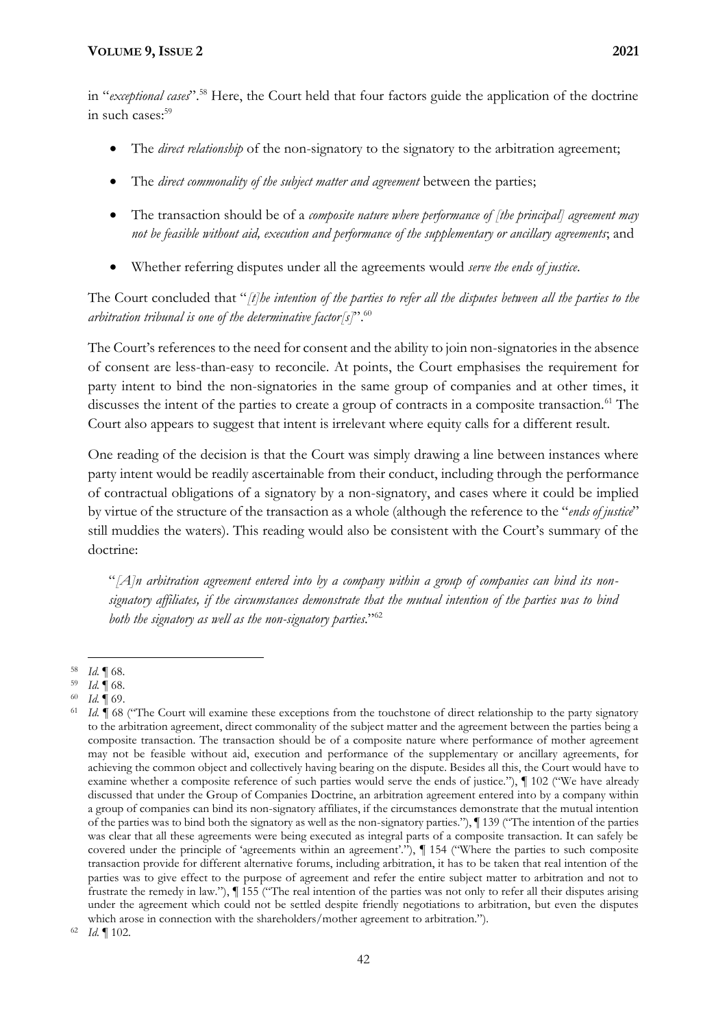in "*exceptional cases*".<sup>58</sup> Here, the Court held that four factors guide the application of the doctrine in such cases:<sup>59</sup>

- The *direct relationship* of the non-signatory to the signatory to the arbitration agreement;
- The *direct commonality of the subject matter and agreement* between the parties;
- The transaction should be of a *composite nature where performance of [the principal] agreement may not be feasible without aid, execution and performance of the supplementary or ancillary agreements*; and
- Whether referring disputes under all the agreements would *serve the ends of justice*.

The Court concluded that "*[t]he intention of the parties to refer all the disputes between all the parties to the arbitration tribunal is one of the determinative factor[s]*".<sup>60</sup>

The Court's references to the need for consent and the ability to join non-signatories in the absence of consent are less-than-easy to reconcile. At points, the Court emphasises the requirement for party intent to bind the non-signatories in the same group of companies and at other times, it discusses the intent of the parties to create a group of contracts in a composite transaction.<sup>61</sup> The Court also appears to suggest that intent is irrelevant where equity calls for a different result.

One reading of the decision is that the Court was simply drawing a line between instances where party intent would be readily ascertainable from their conduct, including through the performance of contractual obligations of a signatory by a non-signatory, and cases where it could be implied by virtue of the structure of the transaction as a whole (although the reference to the "*ends of justice*" still muddies the waters). This reading would also be consistent with the Court's summary of the doctrine:

"*[A]n arbitration agreement entered into by a company within a group of companies can bind its nonsignatory affiliates, if the circumstances demonstrate that the mutual intention of the parties was to bind both the signatory as well as the non-signatory parties*."<sup>62</sup>

<sup>58</sup> *Id.* ¶ 68.

<sup>59</sup> *Id.* ¶ 68.

<sup>60</sup> *Id.* ¶ 69.

<sup>61</sup> *Id.* ¶ 68 ("The Court will examine these exceptions from the touchstone of direct relationship to the party signatory to the arbitration agreement, direct commonality of the subject matter and the agreement between the parties being a composite transaction. The transaction should be of a composite nature where performance of mother agreement may not be feasible without aid, execution and performance of the supplementary or ancillary agreements, for achieving the common object and collectively having bearing on the dispute. Besides all this, the Court would have to examine whether a composite reference of such parties would serve the ends of justice."), *¶* 102 ("We have already discussed that under the Group of Companies Doctrine, an arbitration agreement entered into by a company within a group of companies can bind its non-signatory affiliates, if the circumstances demonstrate that the mutual intention of the parties was to bind both the signatory as well as the non-signatory parties."), *¶* 139 ("The intention of the parties was clear that all these agreements were being executed as integral parts of a composite transaction. It can safely be covered under the principle of 'agreements within an agreement'."), *¶* 154 ("Where the parties to such composite transaction provide for different alternative forums, including arbitration, it has to be taken that real intention of the parties was to give effect to the purpose of agreement and refer the entire subject matter to arbitration and not to frustrate the remedy in law."), *¶* 155 ("The real intention of the parties was not only to refer all their disputes arising under the agreement which could not be settled despite friendly negotiations to arbitration, but even the disputes which arose in connection with the shareholders/mother agreement to arbitration.").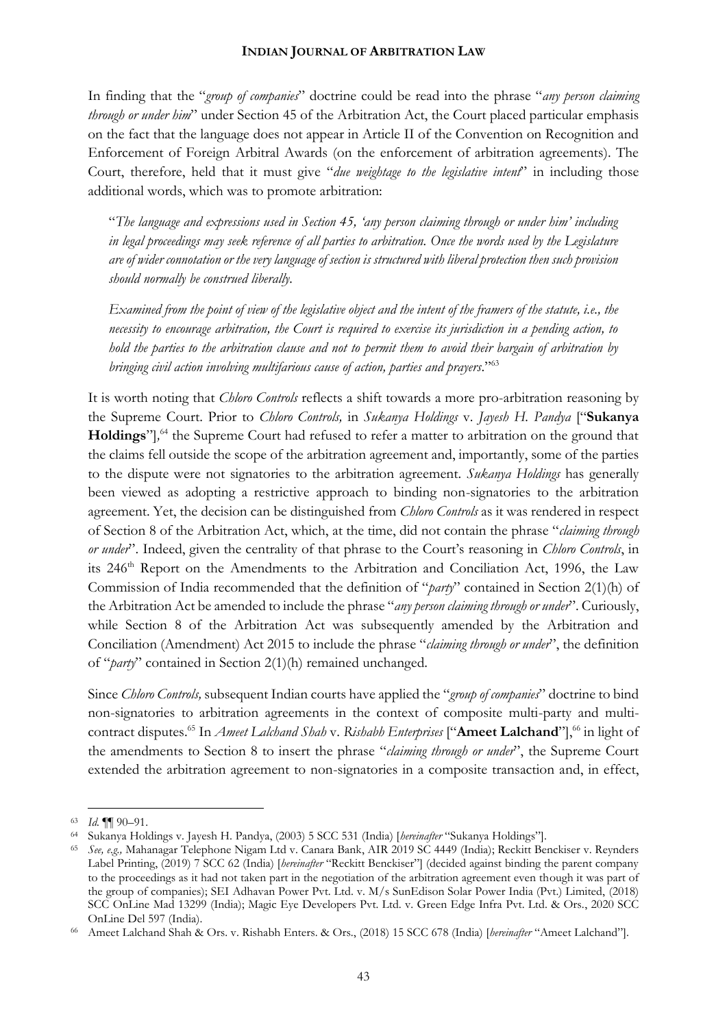In finding that the "*group of companies*" doctrine could be read into the phrase "*any person claiming through or under him*" under Section 45 of the Arbitration Act, the Court placed particular emphasis on the fact that the language does not appear in Article II of the Convention on Recognition and Enforcement of Foreign Arbitral Awards (on the enforcement of arbitration agreements). The Court, therefore, held that it must give "*due weightage to the legislative intent*" in including those additional words, which was to promote arbitration:

"*The language and expressions used in Section 45, 'any person claiming through or under him' including in legal proceedings may seek reference of all parties to arbitration. Once the words used by the Legislature are of wider connotation or the very language of section is structured with liberal protection then such provision should normally be construed liberally.*

*Examined from the point of view of the legislative object and the intent of the framers of the statute, i.e., the necessity to encourage arbitration, the Court is required to exercise its jurisdiction in a pending action, to hold the parties to the arbitration clause and not to permit them to avoid their bargain of arbitration by bringing civil action involving multifarious cause of action, parties and prayers*."<sup>63</sup>

It is worth noting that *Chloro Controls* reflects a shift towards a more pro-arbitration reasoning by the Supreme Court. Prior to *Chloro Controls,* in *Sukanya Holdings* v. *Jayesh H. Pandya* ["**Sukanya**  Holdings"],<sup>64</sup> the Supreme Court had refused to refer a matter to arbitration on the ground that the claims fell outside the scope of the arbitration agreement and, importantly, some of the parties to the dispute were not signatories to the arbitration agreement. *Sukanya Holdings* has generally been viewed as adopting a restrictive approach to binding non-signatories to the arbitration agreement. Yet, the decision can be distinguished from *Chloro Controls* as it was rendered in respect of Section 8 of the Arbitration Act, which, at the time, did not contain the phrase "*claiming through or under*". Indeed, given the centrality of that phrase to the Court's reasoning in *Chloro Controls*, in its 246<sup>th</sup> Report on the Amendments to the Arbitration and Conciliation Act, 1996, the Law Commission of India recommended that the definition of "*party*" contained in Section 2(1)(h) of the Arbitration Act be amended to include the phrase "*any person claiming through or under*". Curiously, while Section 8 of the Arbitration Act was subsequently amended by the Arbitration and Conciliation (Amendment) Act 2015 to include the phrase "*claiming through or under*", the definition of "*party*" contained in Section 2(1)(h) remained unchanged.

Since *Chloro Controls,* subsequent Indian courts have applied the "*group of companies*" doctrine to bind non-signatories to arbitration agreements in the context of composite multi-party and multicontract disputes.<sup>65</sup> In *Ameet Lalchand Shah v. Rishabh Enterprises* ["**Ameet Lalchand**"],<sup>66</sup> in light of the amendments to Section 8 to insert the phrase "*claiming through or under*", the Supreme Court extended the arbitration agreement to non-signatories in a composite transaction and, in effect,

<sup>63</sup> *Id.* ¶¶ 90–91.

<sup>64</sup> Sukanya Holdings v. Jayesh H. Pandya, (2003) 5 SCC 531 (India) [*hereinafter* "Sukanya Holdings"].

<sup>65</sup> *See, e.g.,* Mahanagar Telephone Nigam Ltd v. Canara Bank, AIR 2019 SC 4449 (India); Reckitt Benckiser v. Reynders Label Printing, (2019) 7 SCC 62 (India) [*hereinafter* "Reckitt Benckiser"] (decided against binding the parent company to the proceedings as it had not taken part in the negotiation of the arbitration agreement even though it was part of the group of companies); SEI Adhavan Power Pvt. Ltd. v. M/s SunEdison Solar Power India (Pvt.) Limited, (2018) SCC OnLine Mad 13299 (India); Magic Eye Developers Pvt. Ltd. v. Green Edge Infra Pvt. Ltd. & Ors., 2020 SCC OnLine Del 597 (India).

<sup>66</sup> Ameet Lalchand Shah & Ors. v. Rishabh Enters. & Ors., (2018) 15 SCC 678 (India) [*hereinafter* "Ameet Lalchand"].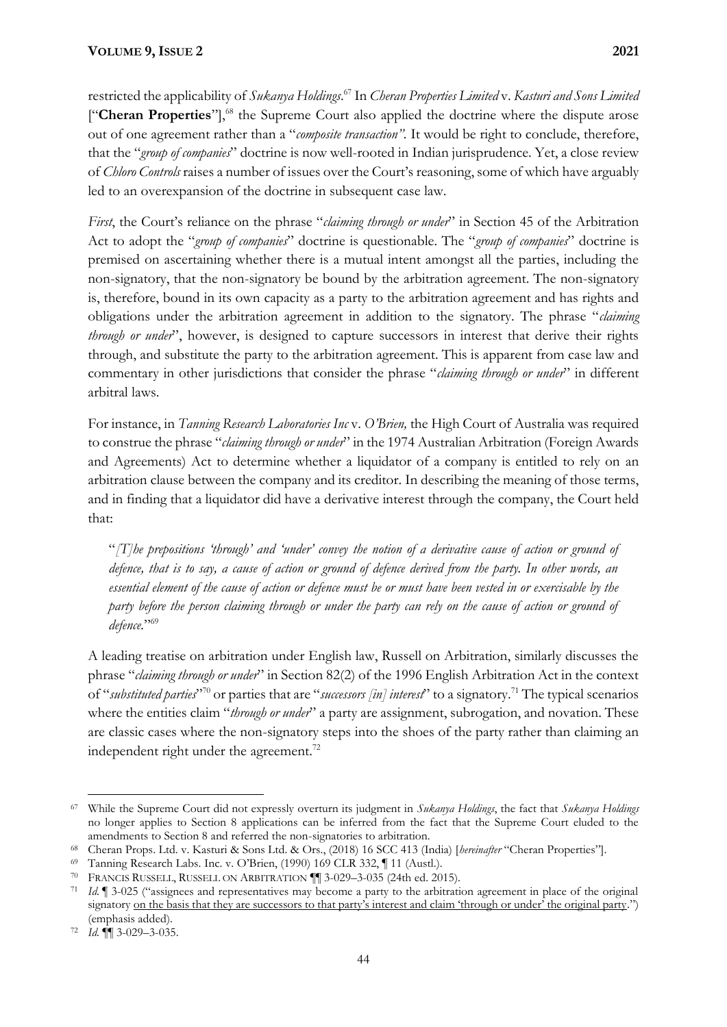restricted the applicability of *Sukanya Holdings*. <sup>67</sup> In *Cheran Properties Limited* v. *Kasturi and Sons Limited*  ["**Cheran Properties**"], <sup>68</sup> the Supreme Court also applied the doctrine where the dispute arose out of one agreement rather than a "*composite transaction".* It would be right to conclude, therefore, that the "*group of companies*" doctrine is now well-rooted in Indian jurisprudence. Yet, a close review of *Chloro Controls* raises a number of issues over the Court's reasoning, some of which have arguably led to an overexpansion of the doctrine in subsequent case law.

*First*, the Court's reliance on the phrase "*claiming through or under*" in Section 45 of the Arbitration Act to adopt the "*group of companies*" doctrine is questionable. The "*group of companies*" doctrine is premised on ascertaining whether there is a mutual intent amongst all the parties, including the non-signatory, that the non-signatory be bound by the arbitration agreement. The non-signatory is, therefore, bound in its own capacity as a party to the arbitration agreement and has rights and obligations under the arbitration agreement in addition to the signatory. The phrase "*claiming through or under*", however, is designed to capture successors in interest that derive their rights through, and substitute the party to the arbitration agreement. This is apparent from case law and commentary in other jurisdictions that consider the phrase "*claiming through or under*" in different arbitral laws.

For instance, in *Tanning Research Laboratories Inc* v. *O'Brien,* the High Court of Australia was required to construe the phrase "*claiming through or under*" in the 1974 Australian Arbitration (Foreign Awards and Agreements) Act to determine whether a liquidator of a company is entitled to rely on an arbitration clause between the company and its creditor. In describing the meaning of those terms, and in finding that a liquidator did have a derivative interest through the company, the Court held that:

"*[T]he prepositions 'through' and 'under' convey the notion of a derivative cause of action or ground of defence, that is to say, a cause of action or ground of defence derived from the party. In other words, an essential element of the cause of action or defence must be or must have been vested in or exercisable by the party before the person claiming through or under the party can rely on the cause of action or ground of defence.*" 69

A leading treatise on arbitration under English law, Russell on Arbitration, similarly discusses the phrase "*claiming through or under*" in Section 82(2) of the 1996 English Arbitration Act in the context of "*substituted parties*" <sup>70</sup> or parties that are "*successors [in] interest*" to a signatory.<sup>71</sup> The typical scenarios where the entities claim "*through or under*" a party are assignment, subrogation, and novation. These are classic cases where the non-signatory steps into the shoes of the party rather than claiming an independent right under the agreement.<sup>72</sup>

<sup>67</sup> While the Supreme Court did not expressly overturn its judgment in *Sukanya Holdings*, the fact that *Sukanya Holdings* no longer applies to Section 8 applications can be inferred from the fact that the Supreme Court eluded to the amendments to Section 8 and referred the non-signatories to arbitration.

<sup>68</sup> Cheran Props. Ltd. v. Kasturi & Sons Ltd. & Ors., (2018) 16 SCC 413 (India) [*hereinafter* "Cheran Properties"].

<sup>69</sup> Tanning Research Labs. Inc. v. O'Brien, (1990) 169 CLR 332, ¶ 11 (Austl.).

<sup>70</sup> FRANCIS RUSSELL, RUSSELL ON ARBITRATION ¶¶ 3-029–3-035 (24th ed. 2015).

<sup>71</sup> *Id.* ¶ 3-025 ("assignees and representatives may become a party to the arbitration agreement in place of the original signatory <u>on the basis that they are successors to that party's interest and claim 'through or under' the original party.")</u> (emphasis added).

<sup>72</sup> *Id.* ¶¶ 3-029–3-035.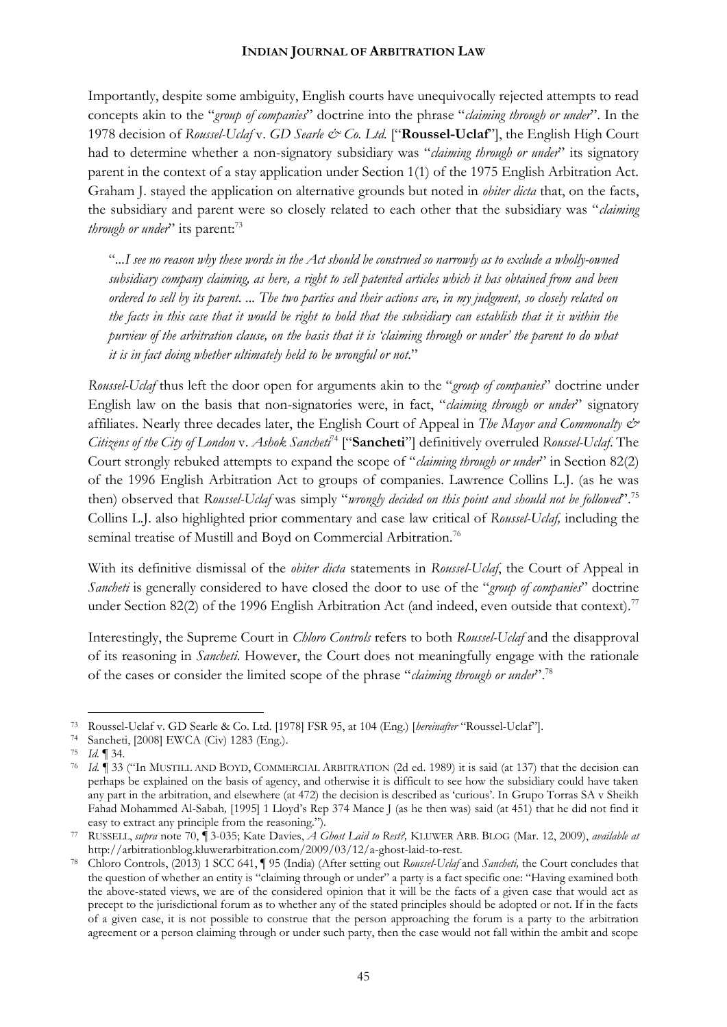Importantly, despite some ambiguity, English courts have unequivocally rejected attempts to read concepts akin to the "*group of companies*" doctrine into the phrase "*claiming through or under*". In the 1978 decision of *Roussel-Uclaf* v. *GD Searle & Co. Ltd.* ["**Roussel-Uclaf**"], the English High Court had to determine whether a non-signatory subsidiary was "*claiming through or under*" its signatory parent in the context of a stay application under Section 1(1) of the 1975 English Arbitration Act. Graham J. stayed the application on alternative grounds but noted in *obiter dicta* that, on the facts, the subsidiary and parent were so closely related to each other that the subsidiary was "*claiming through or under*" its parent:<sup>73</sup>

"*...I see no reason why these words in the Act should be construed so narrowly as to exclude a wholly-owned subsidiary company claiming, as here, a right to sell patented articles which it has obtained from and been ordered to sell by its parent. ... The two parties and their actions are, in my judgment, so closely related on the facts in this case that it would be right to hold that the subsidiary can establish that it is within the purview of the arbitration clause, on the basis that it is 'claiming through or under' the parent to do what it is in fact doing whether ultimately held to be wrongful or not*."

*Roussel-Uclaf* thus left the door open for arguments akin to the "*group of companies*" doctrine under English law on the basis that non-signatories were, in fact, "*claiming through or under*" signatory affiliates. Nearly three decades later, the English Court of Appeal in *The Mayor and Commonalty & Citizens of the City of London* v. *Ashok Sancheti*<sup>74</sup> ["**Sancheti**"] definitively overruled *Roussel-Uclaf*. The Court strongly rebuked attempts to expand the scope of "*claiming through or under*" in Section 82(2) of the 1996 English Arbitration Act to groups of companies. Lawrence Collins L.J. (as he was then) observed that *Roussel-Uclaf* was simply "*wrongly decided on this point and should not be followed*".<sup>75</sup> Collins L.J. also highlighted prior commentary and case law critical of *Roussel-Uclaf,* including the seminal treatise of Mustill and Boyd on Commercial Arbitration*.* 76

With its definitive dismissal of the *obiter dicta* statements in *Roussel-Uclaf*, the Court of Appeal in *Sancheti* is generally considered to have closed the door to use of the "*group of companies*" doctrine under Section 82(2) of the 1996 English Arbitration Act (and indeed, even outside that context).<sup>77</sup>

Interestingly, the Supreme Court in *Chloro Controls* refers to both *Roussel-Uclaf* and the disapproval of its reasoning in *Sancheti*. However, the Court does not meaningfully engage with the rationale of the cases or consider the limited scope of the phrase "*claiming through or under*".<sup>78</sup>

<sup>73</sup> Roussel-Uclaf v. GD Searle & Co. Ltd. [1978] FSR 95, at 104 (Eng.) [*hereinafter* "Roussel-Uclaf"].

<sup>74</sup> Sancheti, [2008] EWCA (Civ) 1283 (Eng.).

<sup>75</sup> *Id.* ¶ 34.

<sup>76</sup> *Id.* ¶ 33 ("In MUSTILL AND BOYD, COMMERCIAL ARBITRATION (2d ed. 1989) it is said (at 137) that the decision can perhaps be explained on the basis of agency, and otherwise it is difficult to see how the subsidiary could have taken any part in the arbitration, and elsewhere (at 472) the decision is described as 'curious'. In Grupo Torras SA v Sheikh Fahad Mohammed Al-Sabah*,* [1995] 1 Lloyd's Rep 374 Mance J (as he then was) said (at 451) that he did not find it easy to extract any principle from the reasoning.").

<sup>77</sup> RUSSELL, *supra* note 70, ¶ 3-035; Kate Davies, *A Ghost Laid to Rest?,* KLUWER ARB. BLOG (Mar. 12, 2009), *available at* [http://arbitrationblog.kluwerarbitration.com/2009/03/12/a-ghost-laid-to-rest.](http://arbitrationblog.kluwerarbitration.com/2009/03/12/a-ghost-laid-to-rest/?print=print) 

<sup>78</sup> Chloro Controls, (2013) 1 SCC 641, ¶ 95 (India) (After setting out *Roussel-Uclaf* and *Sancheti,* the Court concludes that the question of whether an entity is "claiming through or under" a party is a fact specific one: "Having examined both the above-stated views, we are of the considered opinion that it will be the facts of a given case that would act as precept to the jurisdictional forum as to whether any of the stated principles should be adopted or not. If in the facts of a given case, it is not possible to construe that the person approaching the forum is a party to the arbitration agreement or a person claiming through or under such party, then the case would not fall within the ambit and scope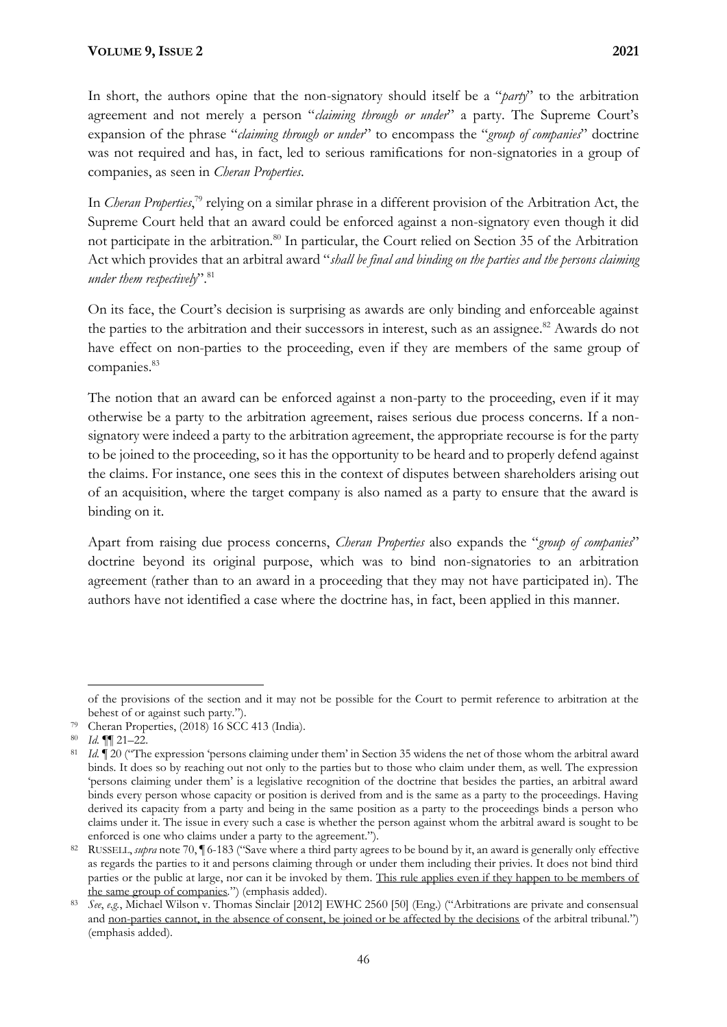In short, the authors opine that the non-signatory should itself be a "*party*" to the arbitration agreement and not merely a person "*claiming through or under*" a party. The Supreme Court's expansion of the phrase "*claiming through or under*" to encompass the "*group of companies*" doctrine was not required and has, in fact, led to serious ramifications for non-signatories in a group of companies, as seen in *Cheran Properties*.

In *Cheran Properties*, <sup>79</sup> relying on a similar phrase in a different provision of the Arbitration Act, the Supreme Court held that an award could be enforced against a non-signatory even though it did not participate in the arbitration.<sup>80</sup> In particular, the Court relied on Section 35 of the Arbitration Act which provides that an arbitral award "*shall be final and binding on the parties and the persons claiming under them respectively*". 81

On its face, the Court's decision is surprising as awards are only binding and enforceable against the parties to the arbitration and their successors in interest, such as an assignee.<sup>82</sup> Awards do not have effect on non-parties to the proceeding, even if they are members of the same group of companies.<sup>83</sup>

The notion that an award can be enforced against a non-party to the proceeding, even if it may otherwise be a party to the arbitration agreement, raises serious due process concerns. If a nonsignatory were indeed a party to the arbitration agreement, the appropriate recourse is for the party to be joined to the proceeding, so it has the opportunity to be heard and to properly defend against the claims. For instance, one sees this in the context of disputes between shareholders arising out of an acquisition, where the target company is also named as a party to ensure that the award is binding on it.

Apart from raising due process concerns, *Cheran Properties* also expands the "*group of companies*" doctrine beyond its original purpose, which was to bind non-signatories to an arbitration agreement (rather than to an award in a proceeding that they may not have participated in). The authors have not identified a case where the doctrine has, in fact, been applied in this manner.

of the provisions of the section and it may not be possible for the Court to permit reference to arbitration at the behest of or against such party.").

<sup>79</sup> Cheran Properties, (2018) 16 SCC 413 (India).

<sup>80</sup> *Id.* ¶¶ 21–22.

<sup>81</sup> *Id.* ¶ 20 ("The expression 'persons claiming under them' in Section 35 widens the net of those whom the arbitral award binds. It does so by reaching out not only to the parties but to those who claim under them, as well. The expression 'persons claiming under them' is a legislative recognition of the doctrine that besides the parties, an arbitral award binds every person whose capacity or position is derived from and is the same as a party to the proceedings. Having derived its capacity from a party and being in the same position as a party to the proceedings binds a person who claims under it. The issue in every such a case is whether the person against whom the arbitral award is sought to be enforced is one who claims under a party to the agreement.").

<sup>82</sup> RUSSELL, *supra* note 70, ¶ 6-183 ("Save where a third party agrees to be bound by it, an award is generally only effective as regards the parties to it and persons claiming through or under them including their privies. It does not bind third parties or the public at large, nor can it be invoked by them. This rule applies even if they happen to be members of the same group of companies*.*") (emphasis added).

<sup>83</sup> *See*, *e.g.*, Michael Wilson v. Thomas Sinclair [2012] EWHC 2560 [50] (Eng.) ("Arbitrations are private and consensual and non-parties cannot, in the absence of consent, be joined or be affected by the decisions of the arbitral tribunal.") (emphasis added).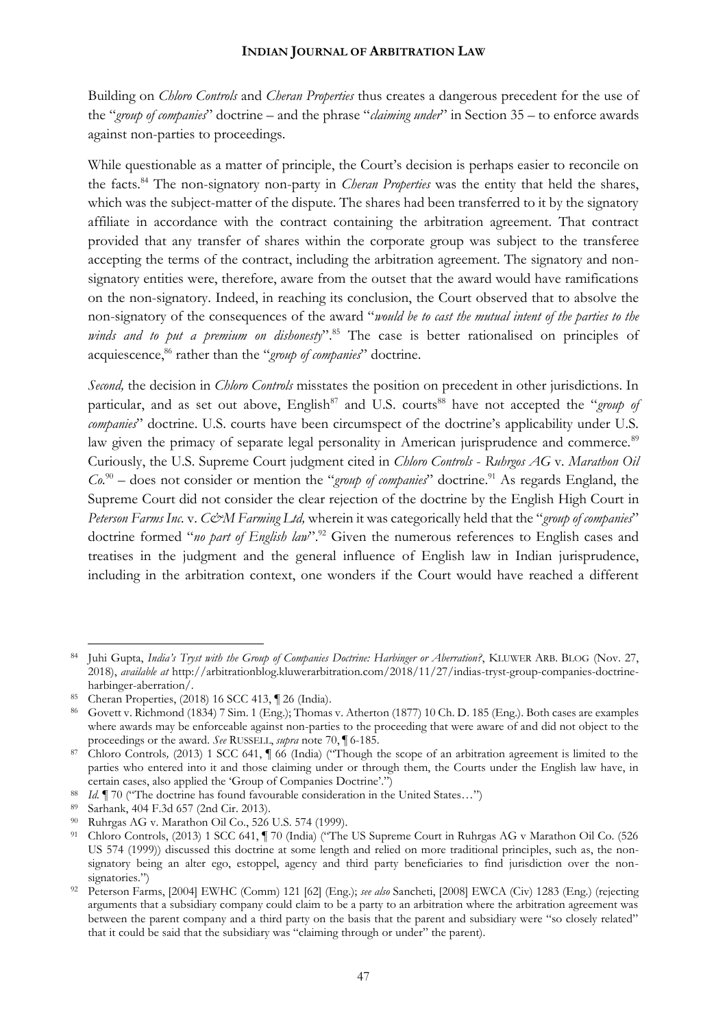Building on *Chloro Controls* and *Cheran Properties* thus creates a dangerous precedent for the use of the "*group of companies*" doctrine – and the phrase "*claiming under*" in Section 35 – to enforce awards against non-parties to proceedings.

While questionable as a matter of principle, the Court's decision is perhaps easier to reconcile on the facts.<sup>84</sup> The non-signatory non-party in *Cheran Properties* was the entity that held the shares, which was the subject-matter of the dispute. The shares had been transferred to it by the signatory affiliate in accordance with the contract containing the arbitration agreement. That contract provided that any transfer of shares within the corporate group was subject to the transferee accepting the terms of the contract, including the arbitration agreement. The signatory and nonsignatory entities were, therefore, aware from the outset that the award would have ramifications on the non-signatory. Indeed, in reaching its conclusion, the Court observed that to absolve the non-signatory of the consequences of the award "*would be to cast the mutual intent of the parties to the*  winds and to put a premium on dishonesty".<sup>85</sup> The case is better rationalised on principles of acquiescence,<sup>86</sup> rather than the "*group of companies*" doctrine.

*Second,* the decision in *Chloro Controls* misstates the position on precedent in other jurisdictions. In particular, and as set out above, English<sup>87</sup> and U.S. courts<sup>88</sup> have not accepted the "*group of companies*" doctrine. U.S. courts have been circumspect of the doctrine's applicability under U.S. law given the primacy of separate legal personality in American jurisprudence and commerce.<sup>89</sup> Curiously, the U.S. Supreme Court judgment cited in *Chloro Controls* - *Ruhrgos AG* v*. Marathon Oil Co.*<sup>90</sup> *–* does not consider or mention the "*group of companies*" doctrine.<sup>91</sup> As regards England, the Supreme Court did not consider the clear rejection of the doctrine by the English High Court in *Peterson Farms Inc.* v. *C&M Farming Ltd,* wherein it was categorically held that the "*group of companies*" doctrine formed "*no part of English law*".<sup>92</sup> Given the numerous references to English cases and treatises in the judgment and the general influence of English law in Indian jurisprudence, including in the arbitration context, one wonders if the Court would have reached a different

<sup>84</sup> Juhi Gupta, *India's Tryst with the Group of Companies Doctrine: Harbinger or Aberration?*, KLUWER ARB. BLOG (Nov. 27, 2018), *available at* [http://arbitrationblog.kluwerarbitration.com/2018/11/27/indias-tryst-group-companies-doctrine](http://arbitrationblog.kluwerarbitration.com/2018/11/27/indias-tryst-group-companies-doctrine-harbinger-aberration/)[harbinger-aberration/.](http://arbitrationblog.kluwerarbitration.com/2018/11/27/indias-tryst-group-companies-doctrine-harbinger-aberration/) 

<sup>85</sup> Cheran Properties, (2018) 16 SCC 413, ¶ 26 (India).

<sup>86</sup> Govett v. Richmond (1834) 7 Sim. 1 (Eng.); Thomas v. Atherton (1877) 10 Ch. D. 185 (Eng.). Both cases are examples where awards may be enforceable against non-parties to the proceeding that were aware of and did not object to the proceedings or the award. *See* RUSSELL, *supra* note 70, ¶ 6-185.

<sup>87</sup> Chloro Controls*,* (2013) 1 SCC 641, ¶ 66 (India) ("Though the scope of an arbitration agreement is limited to the parties who entered into it and those claiming under or through them, the Courts under the English law have, in certain cases, also applied the 'Group of Companies Doctrine'.")

<sup>88</sup> *Id.* ¶ 70 ("The doctrine has found favourable consideration in the United States…")

<sup>89</sup> Sarhank, 404 F.3d 657 (2nd Cir. 2013).

<sup>90</sup> Ruhrgas AG v. Marathon Oil Co., 526 U.S. 574 (1999).

<sup>91</sup> Chloro Controls, (2013) 1 SCC 641, ¶ 70 (India) ("The US Supreme Court in Ruhrgas AG v Marathon Oil Co. (526 US 574 (1999)) discussed this doctrine at some length and relied on more traditional principles, such as, the nonsignatory being an alter ego, estoppel, agency and third party beneficiaries to find jurisdiction over the nonsignatories.")

<sup>92</sup> Peterson Farms, [2004] EWHC (Comm) 121 [62] (Eng.); *see also* Sancheti, [2008] EWCA (Civ) 1283 (Eng.) (rejecting arguments that a subsidiary company could claim to be a party to an arbitration where the arbitration agreement was between the parent company and a third party on the basis that the parent and subsidiary were "so closely related" that it could be said that the subsidiary was "claiming through or under" the parent).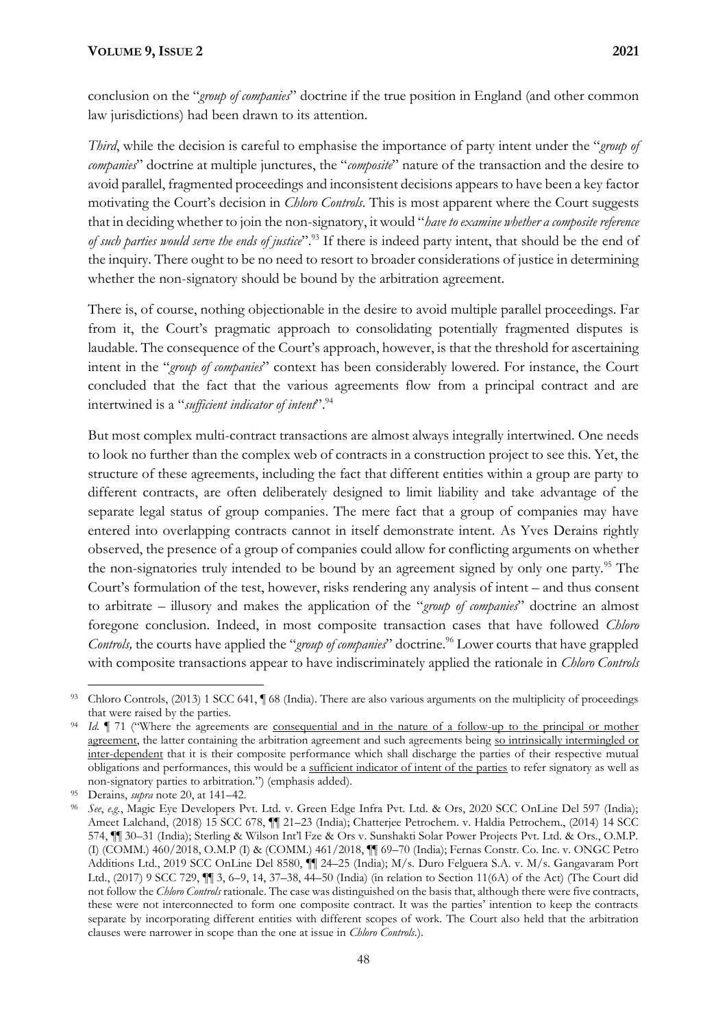conclusion on the "*group of companies*" doctrine if the true position in England (and other common law jurisdictions) had been drawn to its attention.

*Third*, while the decision is careful to emphasise the importance of party intent under the "*group of companies*" doctrine at multiple junctures, the "*composite*" nature of the transaction and the desire to avoid parallel, fragmented proceedings and inconsistent decisions appears to have been a key factor motivating the Court's decision in *Chloro Controls*. This is most apparent where the Court suggests that in deciding whether to join the non-signatory, it would "*have to examine whether a composite reference of such parties would serve the ends of justice*". <sup>93</sup> If there is indeed party intent, that should be the end of the inquiry. There ought to be no need to resort to broader considerations of justice in determining whether the non-signatory should be bound by the arbitration agreement.

There is, of course, nothing objectionable in the desire to avoid multiple parallel proceedings. Far from it, the Court's pragmatic approach to consolidating potentially fragmented disputes is laudable. The consequence of the Court's approach, however, is that the threshold for ascertaining intent in the "*group of companies*" context has been considerably lowered. For instance, the Court concluded that the fact that the various agreements flow from a principal contract and are intertwined is a "*sufficient indicator of intent*".<sup>94</sup>

But most complex multi-contract transactions are almost always integrally intertwined. One needs to look no further than the complex web of contracts in a construction project to see this. Yet, the structure of these agreements, including the fact that different entities within a group are party to different contracts, are often deliberately designed to limit liability and take advantage of the separate legal status of group companies. The mere fact that a group of companies may have entered into overlapping contracts cannot in itself demonstrate intent. As Yves Derains rightly observed, the presence of a group of companies could allow for conflicting arguments on whether the non-signatories truly intended to be bound by an agreement signed by only one party.<sup>95</sup> The Court's formulation of the test, however, risks rendering any analysis of intent – and thus consent to arbitrate – illusory and makes the application of the "*group of companies*" doctrine an almost foregone conclusion. Indeed, in most composite transaction cases that have followed *Chloro Controls,* the courts have applied the "*group of companies*" doctrine.<sup>96</sup> Lower courts that have grappled with composite transactions appear to have indiscriminately applied the rationale in *Chloro Controls* 

<sup>93</sup> Chloro Controls, (2013) 1 SCC 641, ¶ 68 (India). There are also various arguments on the multiplicity of proceedings that were raised by the parties.

<sup>&</sup>lt;sup>94</sup> *Id.*  $\blacksquare$  71 ("Where the agreements are <u>consequential and in the nature of a follow</u>-up to the principal or mother agreement, the latter containing the arbitration agreement and such agreements being so intrinsically intermingled or inter-dependent that it is their composite performance which shall discharge the parties of their respective mutual obligations and performances, this would be a sufficient indicator of intent of the parties to refer signatory as well as non-signatory parties to arbitration.") (emphasis added).

<sup>95</sup> Derains, *supra* note 20, at 141–42.

<sup>96</sup> *See*, *e.g.*, Magic Eye Developers Pvt. Ltd. v. Green Edge Infra Pvt. Ltd. & Ors, 2020 SCC OnLine Del 597 (India); Ameet Lalchand, (2018) 15 SCC 678,  $\P\P$  21–23 (India); Chatterjee Petrochem. v. Haldia Petrochem., (2014) 14 SCC 574, ¶¶ 30–31 (India); Sterling & Wilson Int'l Fze & Ors v. Sunshakti Solar Power Projects Pvt. Ltd. & Ors., O.M.P. (I) (COMM.) 460/2018, O.M.P (I) & (COMM.) 461/2018, ¶¶ 69–70 (India); Fernas Constr. Co. Inc. v. ONGC Petro Additions Ltd., 2019 SCC OnLine Del 8580, ¶¶ 24–25 (India); M/s. Duro Felguera S.A. v. M/s. Gangavaram Port Ltd., (2017) 9 SCC 729, ¶¶ 3, 6–9, 14, 37–38, 44–50 (India) (in relation to Section 11(6A) of the Act) (The Court did not follow the *Chloro Controls* rationale. The case was distinguished on the basis that, although there were five contracts, these were not interconnected to form one composite contract. It was the parties' intention to keep the contracts separate by incorporating different entities with different scopes of work. The Court also held that the arbitration clauses were narrower in scope than the one at issue in *Chloro Controls*.).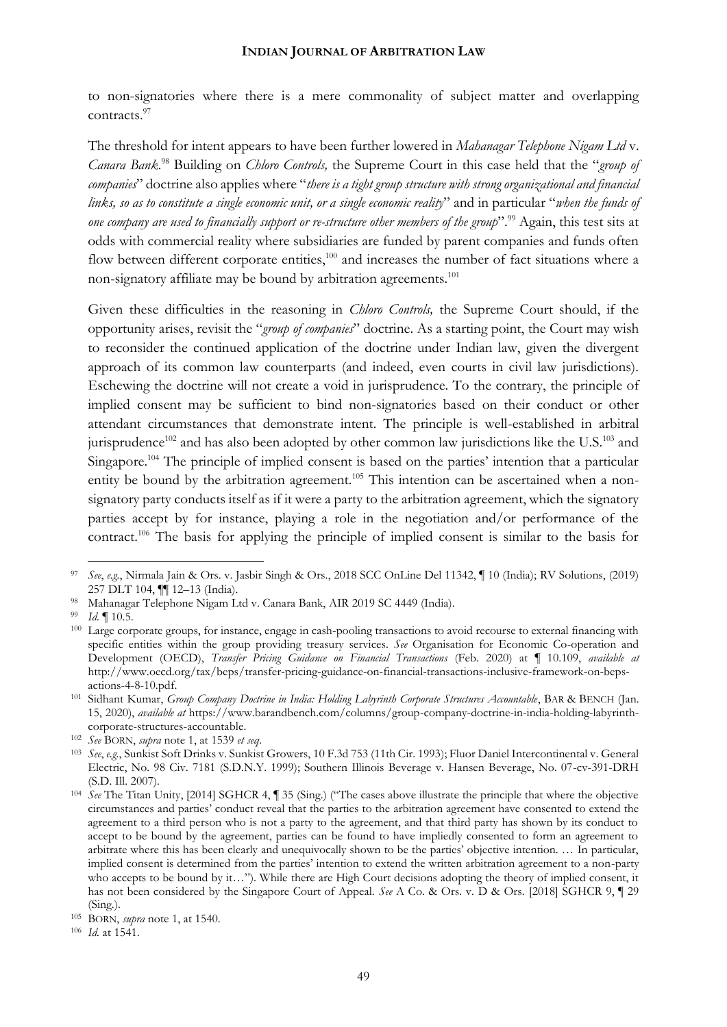to non-signatories where there is a mere commonality of subject matter and overlapping contracts.<sup>97</sup>

The threshold for intent appears to have been further lowered in *Mahanagar Telephone Nigam Ltd* v. *Canara Bank.*<sup>98</sup> Building on *Chloro Controls,* the Supreme Court in this case held that the "*group of companies*" doctrine also applies where "*there is a tight group structure with strong organizational and financial links, so as to constitute a single economic unit, or a single economic reality*" and in particular "*when the funds of one company are used to financially support or re-structure other members of the group*". <sup>99</sup> Again, this test sits at odds with commercial reality where subsidiaries are funded by parent companies and funds often flow between different corporate entities, $100$  and increases the number of fact situations where a non-signatory affiliate may be bound by arbitration agreements.<sup>101</sup>

Given these difficulties in the reasoning in *Chloro Controls,* the Supreme Court should, if the opportunity arises, revisit the "*group of companies*" doctrine. As a starting point, the Court may wish to reconsider the continued application of the doctrine under Indian law, given the divergent approach of its common law counterparts (and indeed, even courts in civil law jurisdictions). Eschewing the doctrine will not create a void in jurisprudence. To the contrary, the principle of implied consent may be sufficient to bind non-signatories based on their conduct or other attendant circumstances that demonstrate intent. The principle is well-established in arbitral jurisprudence<sup>102</sup> and has also been adopted by other common law jurisdictions like the U.S.<sup>103</sup> and Singapore.<sup>104</sup> The principle of implied consent is based on the parties' intention that a particular entity be bound by the arbitration agreement.<sup>105</sup> This intention can be ascertained when a nonsignatory party conducts itself as if it were a party to the arbitration agreement, which the signatory parties accept by for instance, playing a role in the negotiation and/or performance of the contract.<sup>106</sup> The basis for applying the principle of implied consent is similar to the basis for

<sup>97</sup> *See*, *e.g.*, Nirmala Jain & Ors. v. Jasbir Singh & Ors., 2018 SCC OnLine Del 11342, ¶ 10 (India); RV Solutions, (2019) 257 DLT 104, ¶¶ 12–13 (India).

<sup>98</sup> Mahanagar Telephone Nigam Ltd v. Canara Bank, AIR 2019 SC 4449 (India).

<sup>99</sup> *Id.* ¶ 10.5.

<sup>&</sup>lt;sup>100</sup> Large corporate groups, for instance, engage in cash-pooling transactions to avoid recourse to external financing with specific entities within the group providing treasury services. *See* Organisation for Economic Co-operation and Development (OECD), *Transfer Pricing Guidance on Financial Transactions* (Feb. 2020) at ¶ 10.109, *available at* [http://www.oecd.org/tax/beps/transfer-pricing-guidance-on-financial-transactions-inclusive-framework-on-beps](http://www.oecd.org/tax/beps/transfer-pricing-guidance-on-financial-transactions-inclusive-framework-on-beps-actions-4-8-10.pdf)[actions-4-8-10.pdf.](http://www.oecd.org/tax/beps/transfer-pricing-guidance-on-financial-transactions-inclusive-framework-on-beps-actions-4-8-10.pdf)

<sup>101</sup> Sidhant Kumar, *Group Company Doctrine in India: Holding Labyrinth Corporate Structures Accountable*, BAR & BENCH (Jan. 15, 2020), *available at* [https://www.barandbench.com/columns/group-company-doctrine-in-india-holding-labyrinth](https://www.barandbench.com/columns/group-company-doctrine-in-india-holding-labyrinth-corporate-structures-accountable)[corporate-structures-accountable.](https://www.barandbench.com/columns/group-company-doctrine-in-india-holding-labyrinth-corporate-structures-accountable) 

<sup>102</sup> *See* BORN, *supra* note 1, at 1539 *et seq*.

<sup>103</sup> *See*, *e.g.*, Sunkist Soft Drinks v. Sunkist Growers, 10 F.3d 753 (11th Cir. 1993); Fluor Daniel Intercontinental v. General Electric, No. 98 Civ. 7181 (S.D.N.Y. 1999); Southern Illinois Beverage v. Hansen Beverage, No. 07-cv-391-DRH (S.D. Ill. 2007).

<sup>104</sup> *See* The Titan Unity, [2014] SGHCR 4, ¶ 35 (Sing.) ("The cases above illustrate the principle that where the objective circumstances and parties' conduct reveal that the parties to the arbitration agreement have consented to extend the agreement to a third person who is not a party to the agreement, and that third party has shown by its conduct to accept to be bound by the agreement, parties can be found to have impliedly consented to form an agreement to arbitrate where this has been clearly and unequivocally shown to be the parties' objective intention. … In particular, implied consent is determined from the parties' intention to extend the written arbitration agreement to a non-party who accepts to be bound by it…"). While there are High Court decisions adopting the theory of implied consent, it has not been considered by the Singapore Court of Appeal. *See* A Co. & Ors. v. D & Ors. [2018] SGHCR 9, ¶ 29 (Sing.).

<sup>105</sup> BORN, *supra* note 1, at 1540.

<sup>106</sup> *Id.* at 1541.